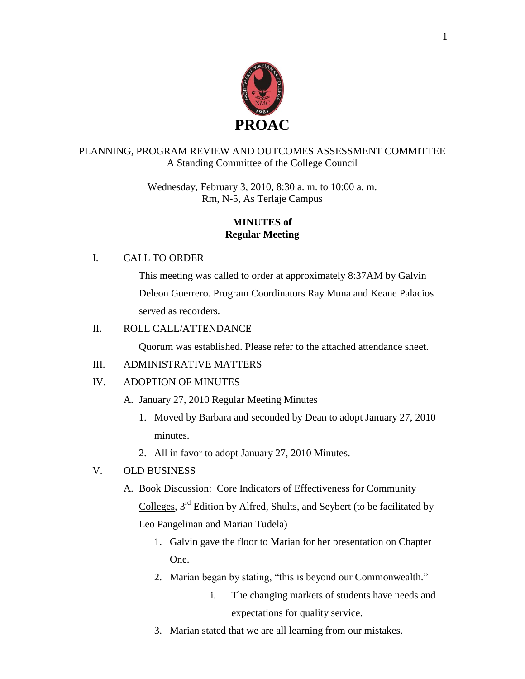

## PLANNING, PROGRAM REVIEW AND OUTCOMES ASSESSMENT COMMITTEE A Standing Committee of the College Council

Wednesday, February 3, 2010, 8:30 a. m. to 10:00 a. m. Rm, N-5, As Terlaje Campus

## **MINUTES of Regular Meeting**

## I. CALL TO ORDER

This meeting was called to order at approximately 8:37AM by Galvin Deleon Guerrero. Program Coordinators Ray Muna and Keane Palacios served as recorders.

## II. ROLL CALL/ATTENDANCE

Quorum was established. Please refer to the attached attendance sheet.

# III. ADMINISTRATIVE MATTERS

# IV. ADOPTION OF MINUTES

- A. January 27, 2010 Regular Meeting Minutes
	- 1. Moved by Barbara and seconded by Dean to adopt January 27, 2010 minutes.
	- 2. All in favor to adopt January 27, 2010 Minutes.

# V. OLD BUSINESS

A. Book Discussion: Core Indicators of Effectiveness for Community

Colleges, 3rd Edition by Alfred, Shults, and Seybert (to be facilitated by Leo Pangelinan and Marian Tudela)

- 1. Galvin gave the floor to Marian for her presentation on Chapter One.
- 2. Marian began by stating, "this is beyond our Commonwealth."
	- i. The changing markets of students have needs and expectations for quality service.
- 3. Marian stated that we are all learning from our mistakes.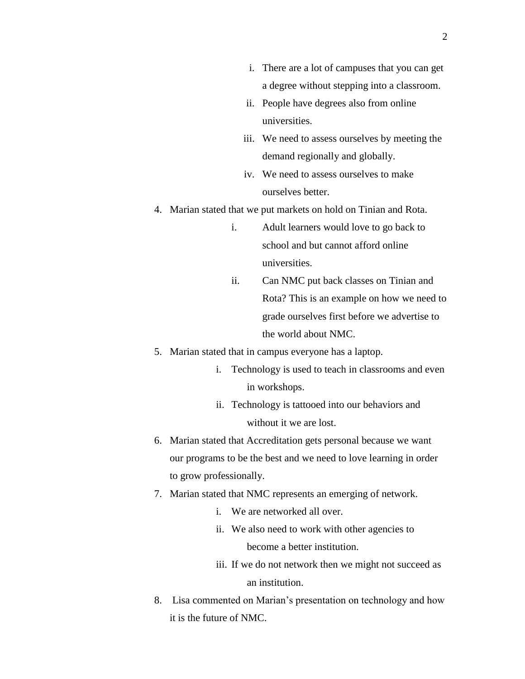- i. There are a lot of campuses that you can get a degree without stepping into a classroom.
- ii. People have degrees also from online universities.
- iii. We need to assess ourselves by meeting the demand regionally and globally.
- iv. We need to assess ourselves to make ourselves better.
- 4. Marian stated that we put markets on hold on Tinian and Rota.
	- i. Adult learners would love to go back to school and but cannot afford online universities.
	- ii. Can NMC put back classes on Tinian and Rota? This is an example on how we need to grade ourselves first before we advertise to the world about NMC.
- 5. Marian stated that in campus everyone has a laptop.
	- i. Technology is used to teach in classrooms and even in workshops.
	- ii. Technology is tattooed into our behaviors and without it we are lost.
- 6. Marian stated that Accreditation gets personal because we want our programs to be the best and we need to love learning in order to grow professionally.
- 7. Marian stated that NMC represents an emerging of network.
	- i. We are networked all over.
	- ii. We also need to work with other agencies to become a better institution.
	- iii. If we do not network then we might not succeed as an institution.
- 8. Lisa commented on Marian's presentation on technology and how it is the future of NMC.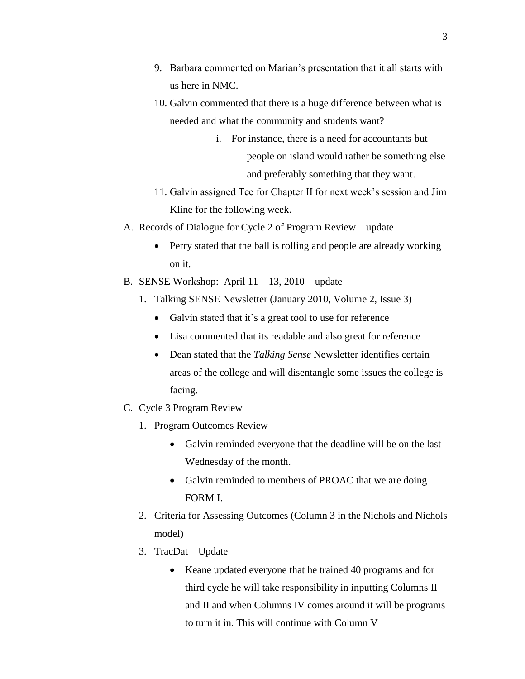- 9. Barbara commented on Marian's presentation that it all starts with us here in NMC.
- 10. Galvin commented that there is a huge difference between what is needed and what the community and students want?
	- i. For instance, there is a need for accountants but people on island would rather be something else and preferably something that they want.
- 11. Galvin assigned Tee for Chapter II for next week's session and Jim Kline for the following week.
- A. Records of Dialogue for Cycle 2 of Program Review—update
	- Perry stated that the ball is rolling and people are already working on it.
- B. SENSE Workshop: April 11—13, 2010—update
	- 1. Talking SENSE Newsletter (January 2010, Volume 2, Issue 3)
		- Galvin stated that it's a great tool to use for reference
		- Lisa commented that its readable and also great for reference
		- Dean stated that the *Talking Sense* Newsletter identifies certain areas of the college and will disentangle some issues the college is facing.
- C. Cycle 3 Program Review
	- 1. Program Outcomes Review
		- Galvin reminded everyone that the deadline will be on the last Wednesday of the month.
		- Galvin reminded to members of PROAC that we are doing FORM I.
	- 2. Criteria for Assessing Outcomes (Column 3 in the Nichols and Nichols model)
	- 3. TracDat—Update
		- Keane updated everyone that he trained 40 programs and for third cycle he will take responsibility in inputting Columns II and II and when Columns IV comes around it will be programs to turn it in. This will continue with Column V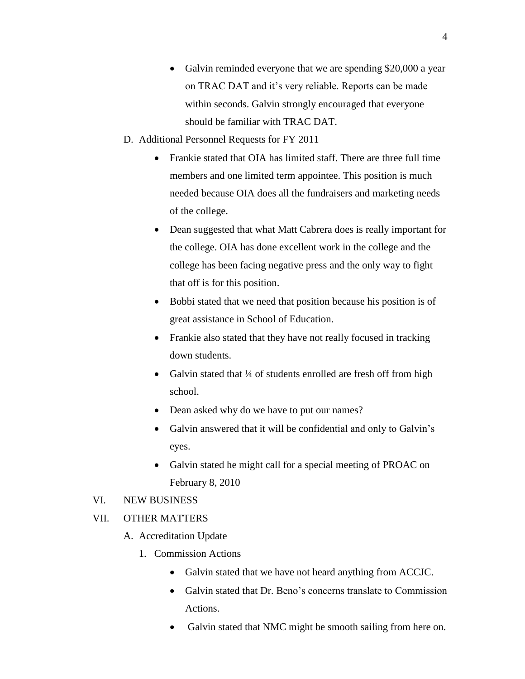- Galvin reminded everyone that we are spending \$20,000 a year on TRAC DAT and it's very reliable. Reports can be made within seconds. Galvin strongly encouraged that everyone should be familiar with TRAC DAT.
- D. Additional Personnel Requests for FY 2011
	- Frankie stated that OIA has limited staff. There are three full time members and one limited term appointee. This position is much needed because OIA does all the fundraisers and marketing needs of the college.
	- Dean suggested that what Matt Cabrera does is really important for the college. OIA has done excellent work in the college and the college has been facing negative press and the only way to fight that off is for this position.
	- Bobbi stated that we need that position because his position is of great assistance in School of Education.
	- Frankie also stated that they have not really focused in tracking down students.
	- Galvin stated that ¼ of students enrolled are fresh off from high school.
	- Dean asked why do we have to put our names?
	- Galvin answered that it will be confidential and only to Galvin's eyes.
	- Galvin stated he might call for a special meeting of PROAC on February 8, 2010

#### VI. NEW BUSINESS

#### VII. OTHER MATTERS

- A. Accreditation Update
	- 1. Commission Actions
		- Galvin stated that we have not heard anything from ACCJC.
		- Galvin stated that Dr. Beno's concerns translate to Commission Actions.
		- Galvin stated that NMC might be smooth sailing from here on.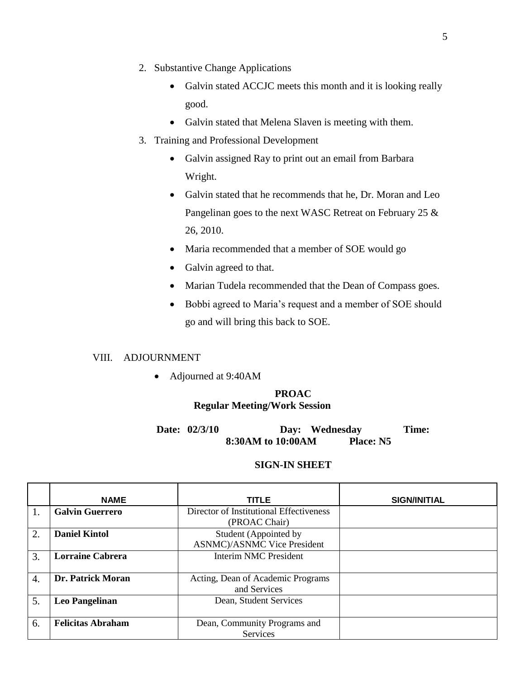- 2. Substantive Change Applications
	- Galvin stated ACCJC meets this month and it is looking really good.
	- Galvin stated that Melena Slaven is meeting with them.
- 3. Training and Professional Development
	- Galvin assigned Ray to print out an email from Barbara Wright.
	- Galvin stated that he recommends that he, Dr. Moran and Leo Pangelinan goes to the next WASC Retreat on February 25 & 26, 2010.
	- Maria recommended that a member of SOE would go
	- Galvin agreed to that.
	- Marian Tudela recommended that the Dean of Compass goes.
	- Bobbi agreed to Maria's request and a member of SOE should go and will bring this back to SOE.

#### VIII. ADJOURNMENT

Adjourned at 9:40AM

## **PROAC Regular Meeting/Work Session**

**Date: 02/3/10 Day: Wednesday Time: 8:30AM to 10:00AM Place: N5**

#### **SIGN-IN SHEET**

|                  | <b>NAME</b>              | <b>TITLE</b>                            | <b>SIGN/INITIAL</b> |
|------------------|--------------------------|-----------------------------------------|---------------------|
|                  | <b>Galvin Guerrero</b>   | Director of Institutional Effectiveness |                     |
|                  |                          | (PROAC Chair)                           |                     |
| 2.               | <b>Daniel Kintol</b>     | Student (Appointed by                   |                     |
|                  |                          | <b>ASNMC</b> )/ASNMC Vice President     |                     |
| 3.               | <b>Lorraine Cabrera</b>  | <b>Interim NMC President</b>            |                     |
|                  |                          |                                         |                     |
| $\overline{4}$ . | Dr. Patrick Moran        | Acting, Dean of Academic Programs       |                     |
|                  |                          | and Services                            |                     |
| 5.               | <b>Leo Pangelinan</b>    | Dean, Student Services                  |                     |
|                  |                          |                                         |                     |
| 6.               | <b>Felicitas Abraham</b> | Dean, Community Programs and            |                     |
|                  |                          | <b>Services</b>                         |                     |